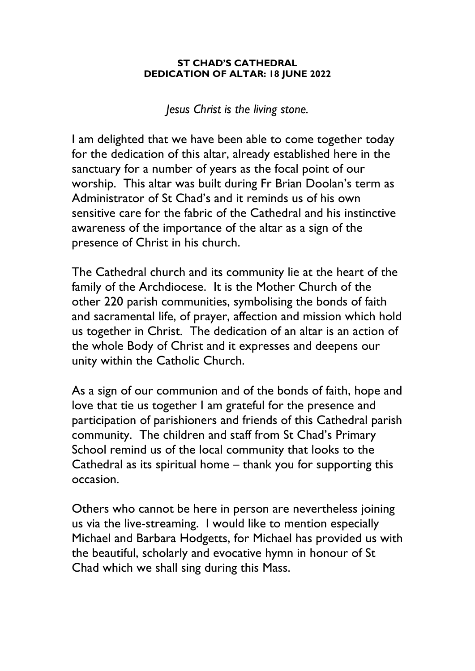## **ST CHAD'S CATHEDRAL DEDICATION OF ALTAR: 18 JUNE 2022**

*Jesus Christ is the living stone.*

I am delighted that we have been able to come together today for the dedication of this altar, already established here in the sanctuary for a number of years as the focal point of our worship. This altar was built during Fr Brian Doolan's term as Administrator of St Chad's and it reminds us of his own sensitive care for the fabric of the Cathedral and his instinctive awareness of the importance of the altar as a sign of the presence of Christ in his church.

The Cathedral church and its community lie at the heart of the family of the Archdiocese. It is the Mother Church of the other 220 parish communities, symbolising the bonds of faith and sacramental life, of prayer, affection and mission which hold us together in Christ. The dedication of an altar is an action of the whole Body of Christ and it expresses and deepens our unity within the Catholic Church.

As a sign of our communion and of the bonds of faith, hope and love that tie us together I am grateful for the presence and participation of parishioners and friends of this Cathedral parish community. The children and staff from St Chad's Primary School remind us of the local community that looks to the Cathedral as its spiritual home – thank you for supporting this occasion.

Others who cannot be here in person are nevertheless joining us via the live-streaming. I would like to mention especially Michael and Barbara Hodgetts, for Michael has provided us with the beautiful, scholarly and evocative hymn in honour of St Chad which we shall sing during this Mass.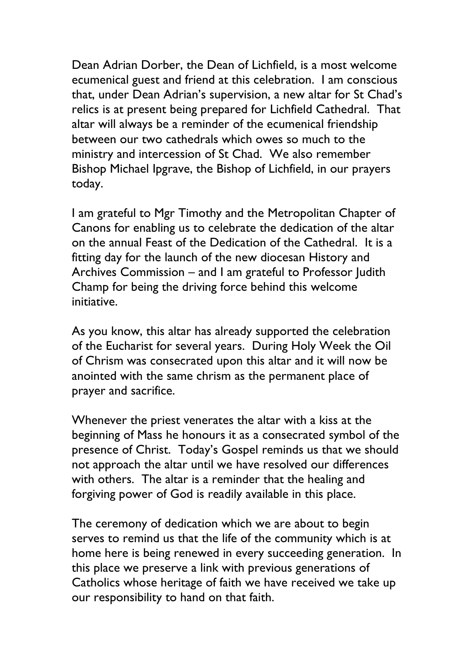Dean Adrian Dorber, the Dean of Lichfield, is a most welcome ecumenical guest and friend at this celebration. I am conscious that, under Dean Adrian's supervision, a new altar for St Chad's relics is at present being prepared for Lichfield Cathedral. That altar will always be a reminder of the ecumenical friendship between our two cathedrals which owes so much to the ministry and intercession of St Chad. We also remember Bishop Michael Ipgrave, the Bishop of Lichfield, in our prayers today.

I am grateful to Mgr Timothy and the Metropolitan Chapter of Canons for enabling us to celebrate the dedication of the altar on the annual Feast of the Dedication of the Cathedral. It is a fitting day for the launch of the new diocesan History and Archives Commission – and I am grateful to Professor Judith Champ for being the driving force behind this welcome initiative.

As you know, this altar has already supported the celebration of the Eucharist for several years. During Holy Week the Oil of Chrism was consecrated upon this altar and it will now be anointed with the same chrism as the permanent place of prayer and sacrifice.

Whenever the priest venerates the altar with a kiss at the beginning of Mass he honours it as a consecrated symbol of the presence of Christ. Today's Gospel reminds us that we should not approach the altar until we have resolved our differences with others. The altar is a reminder that the healing and forgiving power of God is readily available in this place.

The ceremony of dedication which we are about to begin serves to remind us that the life of the community which is at home here is being renewed in every succeeding generation. In this place we preserve a link with previous generations of Catholics whose heritage of faith we have received we take up our responsibility to hand on that faith.